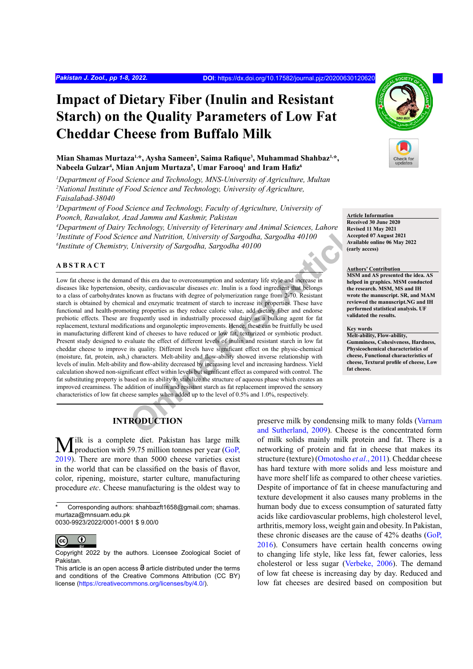# **Impact of Dietary Fiber (Inulin and Resistant Starch) on the Quality Parameters of Low Fat Cheddar Cheese from Buffalo Milk**

**Mian Shamas Murtaza1,\*, Aysha Sameen2 , Saima Rafique<sup>3</sup> , Muhammad Shahbaz1,\*, Nabeela Gulzar4 , Mian Anjum Murtaza5 , Umar Farooq<sup>1</sup> and Iram Hafiz<sup>6</sup>**

*1 Department of Food Science and Technology, MNS-University of Agriculture, Multan* <sup>2</sup> National Institute of Food Science and Technology, University of Agriculture,

*Faisalabad-38040*

*3 Department of Food Science and Technology, Faculty of Agriculture, University of Poonch, Rawalakot, Azad Jammu and Kashmir, Pakistan*

*4 Department of Dairy Technology, University of Veterinary and Animal Sciences, Lahore 5 Institute of Food Science and Nutrition, University of Sargodha, Sargodha 40100 6 Institute of Chemistry, University of Sargodha, Sargodha 40100*

## **ABSTRACT**

*Chinology, University of Veterinary and Animal Sciences, Lahore*<br> *Chinorstiy of Sargodha, Sargodha, Sargodha 40100*<br> *Chiversity of Sargodha, Sargodha 40100*<br> *Chiversity of Sargodha, Sargodha 40100*<br> *Chiversity of Sarg* Low fat cheese is the demand of this era due to overconsumption and sedentary life style and increase in diseases like hypertension, obesity, cardiovascular diseases *etc*. Inulin is a food ingredient that belongs to a class of carbohydrates known as fructans with degree of polymerization range from 2-70. Resistant starch is obtained by chemical and enzymatic treatment of starch to increase its properties. These have functional and health-promoting properties as they reduce caloric value, add dietary fiber and endorse prebiotic effects. These are frequently used in industrially processed dairy as a bulking agent for fat replacement, textural modifications and organoleptic improvements. Hence, these can be fruitfully be used in manufacturing different kind of cheeses to have reduced or low fat, texturized or symbiotic product. Present study designed to evaluate the effect of different levels of inulin and resistant starch in low fat cheddar cheese to improve its quality. Different levels have significant effect on the physic-chemical (moisture, fat, protein, ash,) characters. Melt-ability and flow-ability showed inverse relationship with levels of inulin. Melt-ability and flow-ability decreased by increasing level and increasing hardness. Yield calculation showed non-significant effect within levels but significant effect as compared with control. The fat substituting property is based on its ability to stabilize the structure of aqueous phase which creates an improved creaminess. The addition of inulin and resistant starch as fat replacement improved the sensory characteristics of low fat cheese samples when added up to the level of 0.5% and 1.0%, respectively.



**Article Information Received 30 June 2020 Revised 11 May 2021 Accepted 07 August 2021 Available online 06 May 2022 (early access)**

#### **Authors' Contribution**

**MSM and AS presented the idea. AS helped in graphics. MSM conducted the research. MSM, MS and IH wrote the manuscript. SR, and MAM reviewed the manuscript.NG and IH performed statistical analysis. UF validated the results.**

#### **Key words**

**Melt-ability, Flow-ability, Gumminess, Cohesiveness, Hardness, Physicochemical characteristics of cheese, Functional characteristics of cheese, Textural profile of cheese, Low fat cheese.**

# **INTRODUCTION**

Tilk is a complete diet. Pakistan has large milk **L** production with 59.75 million tonnes per year  $(GoP)$ 2019). There are more than 5000 cheese varieties exist in the world that can be classified on the basis of flavor, color, ripening, moisture, starter culture, manufacturing procedure *etc*. Cheese manufacturing is the oldest way to



Copyright 2022 by the authors. Licensee Zoological Societ of Pakistan.

preserve milk by condensing milk to many folds [\(Varnam](#page-7-0) and Sutherland, 2009). Cheese is the concentrated form of milk solids mainly milk protein and fat. There is a networking of protein and fat in cheese that makes its structure (texture) [\(Omotosho](#page-7-1) *et al*., 2011). Cheddar cheese has hard texture with more solids and less moisture and have more shelf life as compared to other cheese varieties. Despite of importance of fat in cheese manufacturing and texture development it also causes many problems in the human body due to excess consumption of saturated fatty acids like cardiovascular problems, high cholesterol level, arthritis, memory loss, weight gain and obesity. In Pakistan, these chronic diseases are the cause of 42% deaths (GoP, 2016). Consumers have certain health concerns owing to changing life style, like less fat, fewer calories, less cholesterol or less sugar ([Verbeke, 2006](#page-7-2)). The demand of low fat cheese is increasing day by day. Reduced and low fat cheeses are desired based on composition but

Corresponding authors: shahbazft1658@gmail.com; shamas. murtaza@mnsuam.edu.pk 0030-9923/2022/0001-0001 \$ 9.00/0

This article is an open access  $\Theta$  article distributed under the terms and conditions of the Creative Commons Attribution (CC BY) license (<https://creativecommons.org/licenses/by/4.0/>).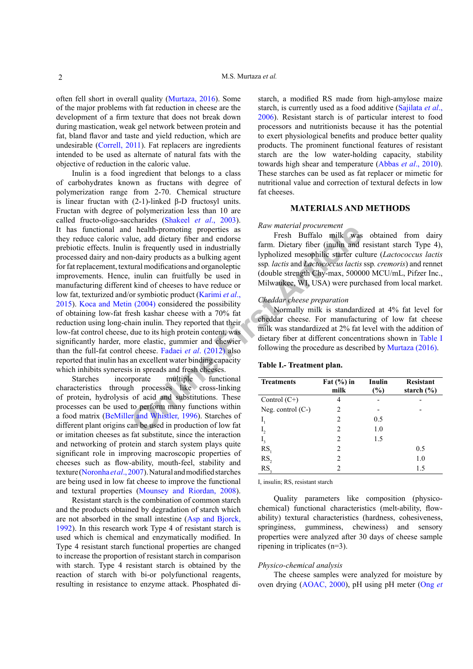often fell short in overall quality ([Murtaza, 2016](#page-6-0)). Some of the major problems with fat reduction in cheese are the development of a firm texture that does not break down during mastication, weak gel network between protein and fat, bland flavor and taste and yield reduction, which are undesirable ([Correll, 2011\)](#page-5-0). Fat replacers are ingredients intended to be used as alternate of natural fats with the objective of reduction in the caloric value.

**Exampl[e](#page-6-3) 1** health-promoting properties as<br>
Lue, add dietary fiber and endorse<br>
Lue, and dietary fiber and endorse<br>
In is frequently used in industrially<br> **[F](#page-6-3)rom Dietary fiber (in limit and 1** is frequently used in<br>
thind Inulin is a food ingredient that belongs to a class of carbohydrates known as fructans with degree of polymerization range from 2-70. Chemical structure is linear fructan with (2-1)-linked β-D fructosyl units. Fructan with degree of polymerization less than 10 are called fructo-oligo-saccharides [\(Shakeel](#page-7-3) *et al*., 2003). It has functional and health-promoting properties as they reduce caloric value, add dietary fiber and endorse prebiotic effects. Inulin is frequently used in industrially processed dairy and non-dairy products as a bulking agent for fat replacement, textural modifications and organoleptic improvements. Hence, inulin can fruitfully be used in manufacturing different kind of cheeses to have reduce or low fat, texturized and/or symbiotic product (Karimi *et al*., [2015\)](#page-6-1). [Koca and Metin \(2004\)](#page-6-2) considered the possibility of obtaining low-fat fresh kashar cheese with a 70% fat reduction using long-chain inulin. They reported that their low-fat control cheese, due to its high protein content, was significantly harder, more elastic, gummier and chewier than the full-fat control cheese. Fadaei *et al*. (2012) also reported that inulin has an excellent water binding capacity which inhibits syneresis in spreads and fresh cheeses.

Starches incorporate multiple functional characteristics through processes like cross-linking of protein, hydrolysis of acid and substitutions. These processes can be used to perform many functions within a food matrix [\(BeMiller and Whistler, 1996\)](#page-5-1). Starches of different plant origins can be used in production of low fat or imitation cheeses as fat substitute, since the interaction and networking of protein and starch system plays quite significant role in improving macroscopic properties of cheeses such as flow-ability, mouth-feel, stability and texture (Noronha *et al*., 2007). Natural and modified starches are being used in low fat cheese to improve the functional and textural properties (Mounsey and Riordan, 2008).

Resistant starch is the combination of common starch and the products obtained by degradation of starch which are not absorbed in the small intestine ([Asp and Bjorck,](#page-5-2) [1992\)](#page-5-2). In this research work Type 4 of resistant starch is used which is chemical and enzymatically modified. In Type 4 resistant starch functional properties are changed to increase the proportion of resistant starch in comparison with starch. Type 4 resistant starch is obtained by the reaction of starch with bi-or polyfunctional reagents, resulting in resistance to enzyme attack. Phosphated distarch, a modified RS made from high-amylose maize starch, is currently used as a food additive ([Sajilata](#page-7-4) *et al*., [2006\)](#page-7-4). Resistant starch is of particular interest to food processors and nutritionists because it has the potential to exert physiological benefits and produce better quality products. The prominent functional features of resistant starch are the low water-holding capacity, stability towards high shear and temperature [\(Abbas](#page-5-3) *et al*., 2010). These starches can be used as fat replacer or mimetic for nutritional value and correction of textural defects in low fat cheeses.

# **MATERIALS AND METHODS**

#### *Raw material procurement*

Fresh Buffalo milk was obtained from dairy farm. Dietary fiber (inulin and resistant starch Type 4), lypholized mesophilic starter culture (*Lactococcus lactis*  ssp*. lactis* and *Lactococcus lactis* ssp*. cremoris*) and rennet (double strength Chy-max, 500000 MCU/mL, Pifzer Inc., Milwaukee, WI, USA) were purchased from local market.

#### *Cheddar cheese preparation*

Normally milk is standardized at 4% fat level for cheddar cheese. For manufacturing of low fat cheese milk was standardized at 2% fat level with the addition of dietary fiber at different concentrations shown in [Table](#page-1-0) I following the procedure as described by [Murtaza \(2016\)](#page-6-0).

#### <span id="page-1-0"></span>**Table I.- Treatment plan.**

| <b>Treatments</b>   | Fat $(\% )$ in<br>milk | Inulin<br>(%) | <b>Resistant</b><br>starch $(\% )$ |
|---------------------|------------------------|---------------|------------------------------------|
| Control $(C+)$      |                        |               |                                    |
| Neg. control $(C-)$ | 2                      |               |                                    |
|                     | 2                      | 0.5           |                                    |
|                     | $\overline{c}$         | 1.0           |                                    |
| $1_{3}$             | $\mathfrak{D}$         | 1.5           |                                    |
| RS                  | $\overline{c}$         |               | 0.5                                |
| RS <sub>2</sub>     | 2                      |               | 1.0                                |
| RS.                 | 2                      |               | 1.5                                |

I, insulin; RS, resistant starch

Quality parameters like composition (physicochemical) functional characteristics (melt-ability, flowability) textural characteristics (hardness, cohesiveness, springiness, gumminess, chewiness) and sensory properties were analyzed after 30 days of cheese sample ripening in triplicates (n=3).

#### *Physico-chemical analysis*

The cheese samples were analyzed for moisture by oven drying [\(AOAC, 2000](#page-5-4)), pH using pH meter ([Ong](#page-7-5) *et*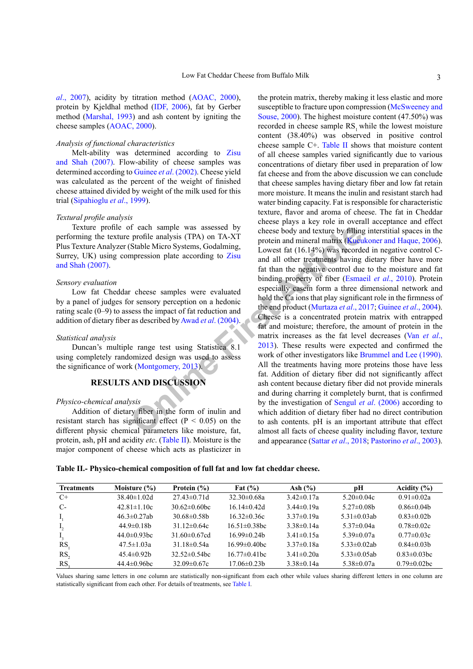*al*[., 2007](#page-7-5)), acidity by titration method [\(AOAC, 2000](#page-5-4)), protein by Kjeldhal method ([IDF, 2006](#page-6-4)), fat by Gerber method ([Marshal, 1993\)](#page-6-5) and ash content by igniting the cheese samples ([AOAC, 2000](#page-5-4)).

#### *Analysis of functional characteristics*

Melt-ability was determined according to [Zisu](#page-7-6) [and Shah \(2007\)](#page-7-6). Flow-ability of cheese samples was determined according to Guinee *et al*[. \(2002\).](#page-6-6) Cheese yield was calculated as the percent of the weight of finished cheese attained divided by weight of the milk used for this trial ([Sipahioglu](#page-7-7) *et al*., 1999).

#### *Textural profile analysis*

Texture profile of each sample was assessed by performing the texture profile analysis (TPA) on TA-XT Plus Texture Analyzer (Stable Micro Systems, Godalming, Surrey, UK) using compression plate according to Zisu [and Shah \(2007\).](#page-7-6)

#### *Sensory evaluation*

Low fat Cheddar cheese samples were evaluated by a panel of judges for sensory perception on a hedonic rating scale (0–9) to assess the impact of fat reduction and addition of dietary fiber as described by Awad *et al*. (2004).

#### *Statistical analysis*

Duncan's multiple range test using Statistica 8.1 using completely randomized design was used to assess the significance of work (Montgomery, 2013).

# **RESULTS AND DISCUSSION**

#### *Physico-chemical analysis*

Addition of dietary fiber in the form of inulin and resistant starch has significant effect ( $P < 0.05$ ) on the different physic chemical parameters like moisture, fat, protein, ash, pH and acidity *etc*. ([Table](#page-2-0) II). Moisture is the major component of cheese which acts as plasticizer in

From the many [i](#page-5-5)s a subset of the many is a subset of the many is a subset of the many is a subset of the many intervention and minimal matrix (Kueu and all other treatments having<br>
From a dil other transmission plate accor the protein matrix, thereby making it less elastic and more susceptible to fracture upon compression [\(McSweeney and](#page-6-8) [Souse, 2000\)](#page-6-8). The highest moisture content (47.50%) was recorded in cheese sample RS<sub>1</sub> while the lowest moisture content (38.40%) was observed in positive control cheese sample C+. [Table](#page-2-0) II shows that moisture content of all cheese samples varied significantly due to various concentrations of dietary fiber used in preparation of low fat cheese and from the above discussion we can conclude that cheese samples having dietary fiber and low fat retain more moisture. It means the inulin and resistant starch had water binding capacity. Fat is responsible for characteristic texture, flavor and aroma of cheese. The fat in Cheddar cheese plays a key role in overall acceptance and effect cheese body and texture by filling interstitial spaces in the protein and mineral matrix ([Kucukoner and Haque, 2006](#page-6-9)). Lowest fat (16.14%) was recorded in negative control Cand all other treatments having dietary fiber have more fat than the negative control due to the moisture and fat binding property of fiber ([Esmaeil](#page-5-6) *et al*., 2010). Protein especially casein form a three dimensional network and hold the Ca ions that play significant role in the firmness of the end product (Murtaza *et al*., 2017; [Guinee](#page-6-11) *et al*., 2004). Cheese is a concentrated protein matrix with entrapped fat and moisture; therefore, the amount of protein in the matrix increases as the fat level decreases (Van *[et al](#page-7-8)*., 2013). These results were expected and confirmed the work of other investigators like [Brummel and Lee \(1990\).](#page-5-7) All the treatments having more proteins those have less fat. Addition of dietary fiber did not significantly affect ash content because dietary fiber did not provide minerals and during charring it completely burnt, that is confirmed by the investigation of Sengul *et al*. (2006) according to which addition of dietary fiber had no direct contribution to ash contents. pH is an important attribute that effect almost all facts of cheese quality including flavor, texture and appearance (Sattar *et al*[., 2018;](#page-7-10) [Pastorino](#page-7-11) *et al*., 2003).

<span id="page-2-0"></span>**Table II.- Physico-chemical composition of full fat and low fat cheddar cheese.**

| <b>Treatments</b> | Moisture $(\% )$   | Protein $(\% )$    | Fat $(\% )$         | Ash $(\% )$       | рH                 | Acidity $(\% )$    |
|-------------------|--------------------|--------------------|---------------------|-------------------|--------------------|--------------------|
| $C+$              | $38.40 \pm 1.02$ d | $27.43\pm0.71d$    | $32.30 \pm 0.68a$   | $3.42 \pm 0.17$ a | $5.20 \pm 0.04c$   | $0.91 \pm 0.02a$   |
| C-                | $42.81 \pm 1.10c$  | $30.62\pm0.60$ bc  | $16.14\pm0.42d$     | $3.44\pm 0.19a$   | $5.27 \pm 0.08$ b  | $0.86 \pm 0.04$    |
| $I_{1}$           | $46.3 \pm 0.27$ ab | $30.68 \pm 0.58$ b | $16.32\pm0.36c$     | $3.37\pm0.19a$    | 5.31 $\pm$ 0.03ab  | $0.83 \pm 0.02$ b  |
| $\mathbf{I}_{2}$  | $44.9 \pm 0.18$ b  | $31.12\pm0.64c$    | $16.51 \pm 0.38$ bc | $3.38\pm0.14a$    | $5.37\pm0.04a$     | $0.78 \pm 0.02c$   |
| $\mathbf{I}_3$    | $44.0 \pm 0.93$ bc | 31.60 $\pm$ 0.67cd | $16.99 \pm 0.24$ b  | $3.41 \pm 0.15a$  | $5.39 \pm 0.07$ a  | $0.77 \pm 0.03c$   |
| RS                | $47.5 \pm 1.03a$   | $31.18 \pm 0.54a$  | $16.99 \pm 0.40$ bc | $3.37\pm0.18a$    | $5.33 \pm 0.02$ ab | $0.84\pm0.03b$     |
| RS.               | $45.4\pm 0.92b$    | $32.52\pm 0.54$ bc | $16.77 \pm 0.41$ bc | $3.41 \pm 0.20a$  | $5.33 \pm 0.05$ ab | $0.83 \pm 0.03$ bc |
| RS.               | $44.4\pm 0.96$ bc  | $32.09 \pm 0.67c$  | $17.06\pm0.23b$     | $3.38 \pm 0.14a$  | $5.38 \pm 0.07a$   | $0.79 \pm 0.02$ bc |

Values sharing same letters in one column are statistically non-significant from each other while values sharing different letters in one column are statistically significant from each other. For details of treatments, see [Table](#page-1-0) I.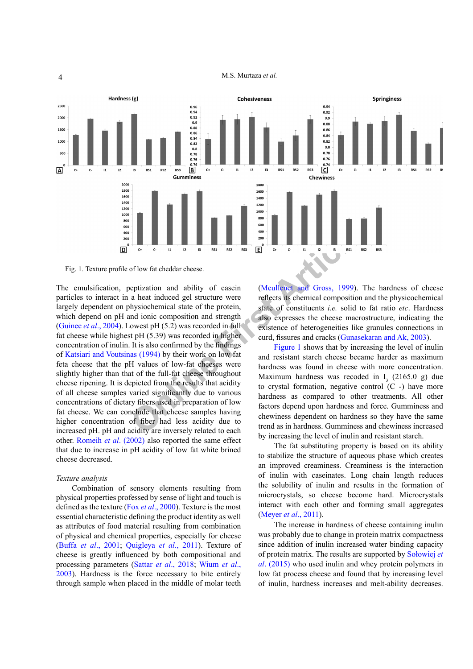M.S. Murtaza *et al.*



<span id="page-3-0"></span>Fig. 1. Texture profile of low fat cheddar cheese.

**ON EXERCT SERVE AND THE CONSERVED AND THE CASE OF THE AREA CONDUCTED AND CONDUCTED AND CONDUCTED AND CONDUCTED AND CONSERVED THE SALE OF A CONSERVED AND INTERENT (S.39) was recorded in full existence of hetrogeneities li** The emulsification, peptization and ability of casein particles to interact in a heat induced gel structure were largely dependent on physiochemical state of the protein, which depend on pH and ionic composition and strength [\(Guinee](#page-6-11) *et al*., 2004). Lowest pH (5.2) was recorded in full fat cheese while highest pH (5.39) was recorded in higher concentration of inulin. It is also confirmed by the findings of [Katsiari and Voutsinas \(1994\)](#page-6-12) by their work on low fat feta cheese that the pH values of low-fat cheeses were slightly higher than that of the full-fat cheese throughout cheese ripening. It is depicted from the results that acidity of all cheese samples varied significantly due to various concentrations of dietary fibers used in preparation of low fat cheese. We can conclude that cheese samples having higher concentration of fiber had less acidity due to increased pH. pH and acidity are inversely related to each other. [Romeih](#page-7-12) *et al*. (2002) also reported the same effect that due to increase in pH acidity of low fat white brined cheese decreased.

#### *Texture analysis*

Combination of sensory elements resulting from physical properties professed by sense of light and touch is defined as the texture (Fox *et al*[., 2000](#page-6-13)). Texture is the most essential characteristic defining the product identity as well as attributes of food material resulting from combination of physical and chemical properties, especially for cheese (Buffa *et al*[., 2001](#page-5-8); Quigleya *et al*., 2011). Texture of cheese is greatly influenced by both compositional and processing parameters (Sattar *et al*[., 2018](#page-7-10); [Wium](#page-7-13) *et al*., [2003](#page-7-13)). Hardness is the force necessary to bite entirely through sample when placed in the middle of molar teeth

(Meullenet and Gross, 1999). The hardness of cheese reflects its chemical composition and the physicochemical state of constituents *i.e.* solid to fat ratio *etc*. Hardness also expresses the cheese macrostructure, indicating the existence of heterogeneities like granules connections in curd, fissures and cracks ([Gunasekaran and Ak, 2003](#page-6-15)).

Figure 1 shows that by increasing the level of inulin and resistant starch cheese became harder as maximum hardness was found in cheese with more concentration. Maximum hardness was recoded in  $I_3$  (2165.0 g) due to crystal formation, negative control  $(C -)$  have more hardness as compared to other treatments. All other factors depend upon hardness and force. Gumminess and chewiness dependent on hardness so they have the same trend as in hardness. Gumminess and chewiness increased by increasing the level of inulin and resistant starch.

The fat substituting property is based on its ability to stabilize the structure of aqueous phase which creates an improved creaminess. Creaminess is the interaction of inulin with caseinates. Long chain length reduces the solubility of inulin and results in the formation of microcrystals, so cheese become hard. Microcrystals interact with each other and forming small aggregates [\(Meyer](#page-6-16) *et al*., 2011).

The increase in hardness of cheese containing inulin was probably due to change in protein matrix compactness since addition of inulin increased water binding capacity of protein matrix. The results are supported by Sołowiej *et al*. (2015) who used inulin and whey protein polymers in low fat process cheese and found that by increasing level of inulin, hardness increases and melt-ability decreases.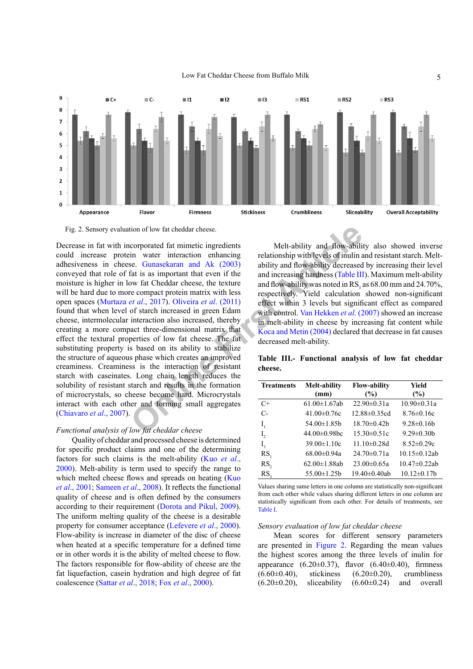

<span id="page-4-1"></span>Fig. 2. Sensory evaluation of low fat cheddar cheese.

tion of low fat cheddar cheese.<br> **Comporated fat mimetic ingredients**<br> **Comporated fat mimetic ingredients**<br> **Composition** with levels of inulin a<br> **Composition** with cheddar cheese, the exture<br>
one compact protein matrix Decrease in fat with incorporated fat mimetic ingredients could increase protein water interaction enhancing adhesiveness in cheese. Gunasekaran and Ak (2003) conveyed that role of fat is as important that even if the moisture is higher in low fat Cheddar cheese, the texture will be hard due to more compact protein matrix with less open spaces (Murtaza *et al*., 2017). Oliveira *et al*. (2011) found that when level of starch increased in green Edam cheese, intermolecular interaction also increased, thereby creating a more compact three-dimensional matrix that effect the textural properties of low fat cheese. The fat substituting property is based on its ability to stabilize the structure of aqueous phase which creates an improved creaminess. Creaminess is the interaction of resistant starch with caseinates. Long chain length reduces the solubility of resistant starch and results in the formation of microcrystals, so cheese become hard. Microcrystals interact with each other and forming small aggregates [\(Chiavaro](#page-5-9) *et al*., 2007).

### *Functional analysis of low fat cheddar cheese*

Quality of cheddar and processed cheese is determined for specific product claims and one of the determining factors for such claims is the melt-ability [\(Kuo](#page-6-17) *et al*., [2000\)](#page-6-17). Melt-ability is term used to specify the range to which melted cheese flows and spreads on heating ([Kuo](#page-6-18) *et al*[., 2001;](#page-6-18) [Sameen](#page-7-15) *et al*., 2008). It reflects the functional quality of cheese and is often defined by the consumers according to their requirement [\(Dorota and Pikul, 2009](#page-5-10)). The uniform melting quality of the cheese is a desirable property for consumer acceptance [\(Lefevere](#page-6-19) *et al*., 2000). Flow-ability is increase in diameter of the disc of cheese when heated at a specific temperature for a defined time or in other words it is the ability of melted cheese to flow. The factors responsible for flow-ability of cheese are the fat liquefaction, casein hydration and high degree of fat coalescence (Sattar *et al*[., 2018](#page-7-10); Fox *et al*[., 2000](#page-6-13)).

Melt-ability and flow-ability also showed inverse relationship with levels of inulin and resistant starch. Meltability and flow-ability decreased by increasing their level and increasing hardness (Table III). Maximum melt-ability and flow-ability was noted in  $\mathbb{RS}_1$  as 68.00 mm and 24.70%, respectively. Yield calculation showed non-significant effect within 3 levels but significant effect as compared with control. Van Hekken *et al.* (2007) showed an increase in melt-ability in cheese by increasing fat content while Koca and Metin (2004) declared that decrease in fat causes decreased melt-ability.

<span id="page-4-0"></span>**Table III.- Functional analysis of low fat cheddar cheese.**

| <b>Treatments</b> | <b>Melt-ability</b> | <b>Flow-ability</b> | Yield               |
|-------------------|---------------------|---------------------|---------------------|
|                   | (mm)                | (%)                 | (%)                 |
| $C+$              | $61.00 \pm 1.67$ ab | $22.90 \pm 0.31a$   | $10.90 \pm 0.31a$   |
| $C-$              | $41.00 \pm 0.76c$   | 12.88±0.35cd        | $8.76 \pm 0.16c$    |
| I,                | $54.00 \pm 1.85 b$  | $18.70 \pm 0.42$ b  | $9.28 \pm 0.16b$    |
| $I_{2}$           | 44.00±0.98bc        | $15.30\pm0.51c$     | $9.29 \pm 0.30$     |
| $I_{\rm a}$       | $39.00 \pm 1.10c$   | $11.10 \pm 0.28$ d  | $8.52 \pm 0.29c$    |
| RS <sub>1</sub>   | $68.00 \pm 0.94a$   | $24.70 \pm 0.71a$   | $10.15 \pm 0.12$ ab |
| RS,               | $62.00 \pm 1.88$ ab | $23.00 \pm 0.65a$   | $10.47 \pm 0.22$ ab |
| RS,               | $55.00 \pm 1.25 b$  | 19.40±0.40ab        | $10.12 \pm 0.17$ b  |

Values sharing same letters in one column are statistically non-significant from each other while values sharing different letters in one column are statistically significant from each other. For details of treatments, see [Table](#page-1-0) I.

#### *Sensory evaluation of low fat cheddar cheese*

Mean scores for different sensory parameters are presented in [Figure](#page-4-1) 2. Regarding the mean values the highest scores among the three levels of inulin for appearance  $(6.20 \pm 0.37)$ , flavor  $(6.40 \pm 0.40)$ , firmness  $(6.60\pm0.40)$ , stickiness  $(6.20\pm0.20)$ , crumbliness  $(6.20\pm0.20)$ , sliceability  $(6.60\pm0.24)$  and overall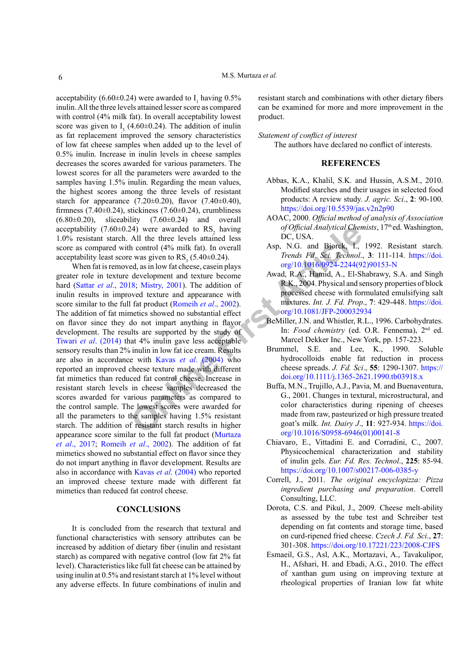acceptability (6.60 $\pm$ 0.24) were awarded to  $I_1$  having 0.5% inulin. All the three levels attained lesser score as compared with control (4% milk fat). In overall acceptability lowest score was given to  $I_3$  (4.60±0.24). The addition of inulin as fat replacement improved the sensory characteristics of low fat cheese samples when added up to the level of 0.5% inulin. Increase in inulin levels in cheese samples decreases the scores awarded for various parameters. The lowest scores for all the parameters were awarded to the samples having 1.5% inulin. Regarding the mean values, the highest scores among the three levels of resistant starch for appearance  $(7.20 \pm 0.20)$ , flavor  $(7.40 \pm 0.40)$ , firmness (7.40 $\pm$ 0.24), stickiness (7.60 $\pm$ 0.24), crumbliness  $(6.80\pm0.20)$ , sliceability  $(7.60\pm0.24)$  and overall acceptability (7.60 $\pm$ 0.24) were awarded to RS<sub>2</sub> having 1.0% resistant starch. All the three levels attained less score as compared with control (4% milk fat). In overall acceptability least score was given to  $\text{RS}_3$  (5.40±0.24).

24) were awarded to RS<sub>2</sub> having of Official Analytical Chem<br>
All the three levels attained less<br>
the control (4% milit fat). In overall<br>
e was given to RS<sub>3</sub> (5.40+0.24). Trends Fat, Sci. Technol.<br>
ed, as in low fat chee When fat is removed, as in low fat cheese, casein plays greater role in texture development and texture become hard (Sattar *et al*[., 2018;](#page-7-10) Mistry, 2001). The addition of inulin results in improved texture and appearance with score similar to the full fat product (Romeih *et al*., 2002). The addition of fat mimetics showed no substantial effect on flavor since they do not impart anything in flavor development. The results are supported by the study of Tiwari *et al*[. \(2014\)](#page-7-17) that 4% inulin gave less acceptable sensory results than 2% inulin in low fat ice cream. Results are also in accordance with Kavas *et al*. (2004) who reported an improved cheese texture made with different fat mimetics than reduced fat control cheese. Increase in resistant starch levels in cheese samples decreased the scores awarded for various parameters as compared to the control sample. The lowest scores were awarded for all the parameters to the samples having 1.5% resistant starch. The addition of resistant starch results in higher appearance score similar to the full fat product [\(Murtaza](#page-6-10) *et al*[., 2017;](#page-6-10) [Romeih](#page-7-12) *et al*., 2002). The addition of fat mimetics showed no substantial effect on flavor since they do not impart anything in flavor development. Results are also in accordance with Kavas *et al*[. \(2004\)](#page-6-21) who reported an improved cheese texture made with different fat mimetics than reduced fat control cheese.

## **CONCLUSIONS**

It is concluded from the research that textural and functional characteristics with sensory attributes can be increased by addition of dietary fiber (inulin and resistant starch) as compared with negative control (low fat 2% fat level). Characteristics like full fat cheese can be attained by using inulin at 0.5% and resistant starch at 1% level without any adverse effects. In future combinations of inulin and

resistant starch and combinations with other dietary fibers can be examined for more and more improvement in the product.

#### *Statement of conflict of interest*

The authors have declared no conflict of interests.

# **REFERENCES**

- <span id="page-5-3"></span>Abbas, K.A., Khalil, S.K. and Hussin, A.S.M., 2010. Modified starches and their usages in selected food products: A review study. *J. agric. Sci*., **2**: 90-100. <https://doi.org/10.5539/jas.v2n2p90>
- <span id="page-5-4"></span>AOAC, 2000. *Official method of analysis of Association of Official Analytical Chemists*, 17th ed. Washington, DC, USA.
- <span id="page-5-2"></span>Asp, N.G. and Bjorck, I., 1992. Resistant starch. *Trends Fd. Sci. Technol*., **3**: 111-114. [https://doi.](https://doi.org/10.1016/0924-2244(92)90153-N) org/10.1016/0924-2244(92)90153-N
- <span id="page-5-5"></span>Awad, R.A., Hamid, A., El-Shabrawy, S.A. and Singh R.K., 2004. Physical and sensory properties of block processed cheese with formulated emulsifying salt mixtures. *Int. J. Fd. Prop*., **7**: 429-448. [https://doi.](https://doi.org/10.1081/JFP-200032934) org/10.1081/JFP-200032934
- <span id="page-5-1"></span>BeMiller, J.N. and Whistler, R.L., 1996. Carbohydrates. In: *Food chemistry* (ed. O.R. Fennema), 2nd ed. Marcel Dekker Inc., New York, pp. 157-223.
- <span id="page-5-7"></span>Brummel, S.E. and Lee, K., 1990. Soluble hydrocolloids enable fat reduction in process cheese spreads. *J. Fd. Sci*., **55**: 1290-1307. [https://](https://doi.org/10.1111/j.1365-2621.1990.tb03918.x) [doi.org/10.1111/j.1365-2621.1990.tb03918.x](https://doi.org/10.1111/j.1365-2621.1990.tb03918.x)
- <span id="page-5-8"></span>Buffa, M.N., Trujillo, A.J., Pavia, M. and Buenaventura, G., 2001. Changes in textural, microstructural, and color characteristics during ripening of cheeses made from raw, pasteurized or high pressure treated goat's milk. *Int. Dairy J*., **11**: 927-934. [https://doi.](https://doi.org/10.1016/S0958-6946(01)00141-8) [org/10.1016/S0958-6946\(01\)00141-8](https://doi.org/10.1016/S0958-6946(01)00141-8)
- <span id="page-5-9"></span>Chiavaro, E., Vittadini E. and Corradini, C., 2007. Physicochemical characterization and stability of inulin gels. *Eur. Fd. Res. Technol*., **225**: 85-94. <https://doi.org/10.1007/s00217-006-0385-y>
- <span id="page-5-0"></span>Correll, J., 2011. *The original encyclopizza: Pizza ingredient purchasing and preparation*. Correll Consulting, LLC.
- <span id="page-5-10"></span>Dorota, C.S. and Pikul, J., 2009. Cheese melt-ability as assessed by the tube test and Schreiber test depending on fat contents and storage time, based on curd-ripened fried cheese. *Czech J. Fd. Sci*., **27**: 301-308. <https://doi.org/10.17221/223/2008-CJFS>
- <span id="page-5-6"></span>Esmaeil, G.S., Asl, A.K., Mortazavi, A., Tavakulipor, H., Afshari, H. and Ebadi, A.G., 2010. The effect of xanthan gum using on improving texture at rheological properties of Iranian low fat white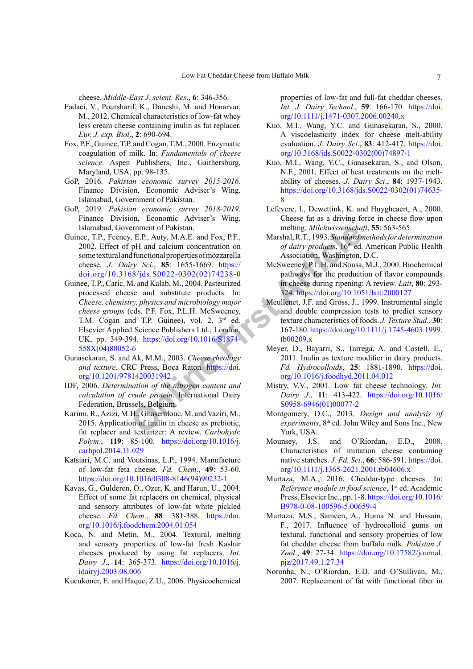<span id="page-6-3"></span>cheese. *Middle-East J. scient. Res*., **6**: 346-356.

- Fadaei, V., Poursharif, K., Daneshi, M. and Honarvar, M., 2012. Chemical characteristics of low-fat whey less cream cheese containing inulin as fat replacer. *Eur. J. exp. Biol*., **2**: 690-694.
- <span id="page-6-13"></span>Fox, P.F., Guinee, T.P. and Cogan, T.M., 2000. Enzymatic coagulation of milk. In: *Fundamentals of cheese science*. Aspen Publishers, Inc., Gaithersburg, Maryland, USA, pp. 98-135.
- GoP, 2016. *Pakistan economic survey 2015-2016*. Finance Division, Economic Adviser's Wing, Islamabad, Government of Pakistan.
- GoP, 2019. *Pakistan economic survey 2018-2019*. Finance Division, Economic Adviser's Wing, Islamabad, Government of Pakistan.
- <span id="page-6-11"></span><span id="page-6-6"></span>Guinee, T.P., Feeney, E.P., Auty, M.A.E. and Fox, P.F., 2002. Effect of pH and calcium concentration on some textural and functional properties of mozzarella cheese. *J. Dairy Sci*., **85**: 1655-1669. https:// [doi.org/10.3168/jds.S0022-0302\(02\)74238-0](https://doi.org/10.3168/jds.S0022-0302(02)74238-0)
- ernment of Pakistan.<br>
F. P., Auty, M.A.E. and Fox, P.F.,<br>
International Calcular concentration on<br>
fold and calcular concentration on<br> *Of daivy produsts*, 16<sup>th</sup> and Solution (*Mashington, Ysci.*, **85**: 1655-1669. https:/ Guinee, T.P., Caric, M. and Kalab, M., 2004. Pasteurized processed cheese and substitute products. In: *Cheese, chemistry, physics and microbiology major cheese groups* (eds. P.F. Fox, P.L.H. McSweeney, T.M. Cogan and T.P. Guinee), vol. 2, 3<sup>rd</sup> ed. Elsevier Applied Science Publishers Ltd., London, UK, pp. 349-394. https://doi.org/10.1016/S1874- [558X\(04\)80052-6](https://doi.org/10.1016/S1874-558X(04)80052-6)
- <span id="page-6-15"></span>Gunasekaran, S. and Ak, M.M., 2003. *Cheese rheology and texture*. CRC Press, Boca Raton. https://doi. [org/10.1201/9781420031942](https://doi.org/10.1201/9781420031942)
- <span id="page-6-4"></span>IDF, 2006. *Determination of the nitrogen content and calculation of crude protein*. International Dairy Federation, Brussels, Belgium.
- <span id="page-6-1"></span>Karimi, R., Azizi, M.H., Ghasemlouc, M. and Vaziri, M., 2015. Application of inulin in cheese as prebiotic, fat replacer and texturizer: A review. *Carbohydr. Polym*., **119**: 85-100. [https://doi.org/10.1016/j.](https://doi.org/10.1016/j.carbpol.2014.11.029) [carbpol.2014.11.029](https://doi.org/10.1016/j.carbpol.2014.11.029)
- <span id="page-6-12"></span>Katsiari, M.C. and Voutsinas, L.P., 1994. Manufacture of low-fat feta cheese. *Fd. Chem*., **49**: 53-60. [https://doi.org/10.1016/0308-8146\(94\)90232-1](https://doi.org/10.1016/0308-8146(94)90232-1)
- <span id="page-6-21"></span>Kavas, G., Gulderen, O., Ozer, K. and Harun, U., 2004. Effect of some fat replacers on chemical, physical and sensory attributes of low-fat white pickled cheese. *Fd. Chem*., **88**: 381-388. [https://doi.](https://doi.org/10.1016/j.foodchem.2004.01.054) [org/10.1016/j.foodchem.2004.01.054](https://doi.org/10.1016/j.foodchem.2004.01.054)
- <span id="page-6-2"></span>Koca, N. and Metin, M., 2004. Textural, melting and sensory properties of low-fat fresh Kashar cheeses produced by using fat replacers. *Int. Dairy J*., **14**: 365-373. [https://doi.org/10.1016/j.](https://doi.org/10.1016/j.idairyj.2003.08.006) [idairyj.2003.08.006](https://doi.org/10.1016/j.idairyj.2003.08.006)

<span id="page-6-9"></span>Kucukoner, E. and Haque, Z.U., 2006. Physicochemical

properties of low-fat and full-fat cheddar cheeses. *Int. J. Dairy Technol*., **59**: 166-170. [https://doi.](https://doi.org/10.1111/j.1471-0307.2006.00240.x) [org/10.1111/j.1471-0307.2006.00240.x](https://doi.org/10.1111/j.1471-0307.2006.00240.x)

- <span id="page-6-17"></span>Kuo, M.I., Wang, Y.C. and Gunasekaran, S., 2000. A viscoelasticity index for cheese melt-ability evaluation. *J. Dairy Sci*., **83**: 412-417. [https://doi.](https://doi.org/10.3168/jds.S0022-0302(00)74897-1) [org/10.3168/jds.S0022-0302\(00\)74897-1](https://doi.org/10.3168/jds.S0022-0302(00)74897-1)
- <span id="page-6-18"></span>Kuo, M.I., Wang, Y.C., Gunasekaran, S., and Olson, N.F., 2001. Effect of heat treatments on the meltability of cheeses. *J. Dairy Sci*., **84**: 1937-1943. [https://doi.org/10.3168/jds.S0022-0302\(01\)74635-](https://doi.org/10.3168/jds.S0022-0302(01)74635-8) [8](https://doi.org/10.3168/jds.S0022-0302(01)74635-8)
- <span id="page-6-19"></span>Lefevere, I., Dewettink, K. and Huygheaert, A., 2000. Cheese fat as a driving force in cheese flow upon melting. *Milchwissenschaft*, **55**: 563-565.
- <span id="page-6-5"></span>Marshal, R.T., 1993. *Standard methods for determination*  of dairy products, 16<sup>th</sup> ed. American Public Health Association, Washington, D.C.
- <span id="page-6-8"></span>McSweeney, P.L.H. and Sousa, M.J., 2000. Biochemical pathways for the production of flavor compounds in cheese during ripening: A review. *Lait*, **80**: 293- 324.<https://doi.org/10.1051/lait:2000127>
- <span id="page-6-14"></span>Meullenet, J.F. and Gross, J., 1999. Instrumental single and double compression tests to predict sensory texture characteristics of foods. *J. Texture Stud*., **30**: 167-180. [https://doi.org/10.1111/j.1745-4603.1999.](https://doi.org/10.1111/j.1745-4603.1999.tb00209.x) tb00209.x
- <span id="page-6-16"></span>Meyer, D., Bayarri, S., Tarrega, A. and Costell, E., 2011. Inulin as texture modifier in dairy products. *Fd. Hydrocolloids*, **25**: 1881-1890. [https://doi.](https://doi.org/10.1016/j.foodhyd.2011.04.012) [org/10.1016/j.foodhyd.2011.04.012](https://doi.org/10.1016/j.foodhyd.2011.04.012)
- <span id="page-6-20"></span>Mistry, V.V., 2001. Low fat cheese technology. *Int. Dairy J*., **11**: 413-422. [https://doi.org/10.1016/](https://doi.org/10.1016/S0958-6946(01)00077-2) S0958-6946(01)00077-2
- <span id="page-6-7"></span>Montgomery, D.C., 2013. *Design and analysis of experiments*, 8<sup>th</sup> ed. John Wiley and Sons Inc., New York, USA.
- Mounsey, J.S. and O'Riordan, E.D., 2008. Characteristics of imitation cheese containing native starches. *J. Fd. Sci*., **66**: 586-591. [https://doi.](https://doi.org/10.1111/j.1365-2621.2001.tb04606.x) [org/10.1111/j.1365-2621.2001.tb04606.x](https://doi.org/10.1111/j.1365-2621.2001.tb04606.x)
- <span id="page-6-0"></span>Murtaza, M.A., 2016. Cheddar-type cheeses. In: *Reference module in food science*, 1<sup>st</sup> ed. Academic Press, Elsevier Inc., pp. 1-8. [https://doi.org/10.1016/](https://doi.org/10.1016/B978-0-08-100596-5.00659-4) [B978-0-08-100596-5.00659-4](https://doi.org/10.1016/B978-0-08-100596-5.00659-4)
- <span id="page-6-10"></span>Murtaza, M.S., Sameen, A., Huma N. and Hussain, F., 2017. Influence of hydrocolloid gums on textural, functional and sensory properties of low fat cheddar cheese from buffalo milk. *Pakistan J. Zool*., **49**: 27-34. [https://doi.org/10.17582/journal.](https://doi.org/10.17582/journal.pjz/2017.49.1.27.34) [pjz/2017.49.1.27.34](https://doi.org/10.17582/journal.pjz/2017.49.1.27.34)
- Noronha, N., O'Riordan, E.D. and O'Sullivan, M., 2007. Replacement of fat with functional fiber in